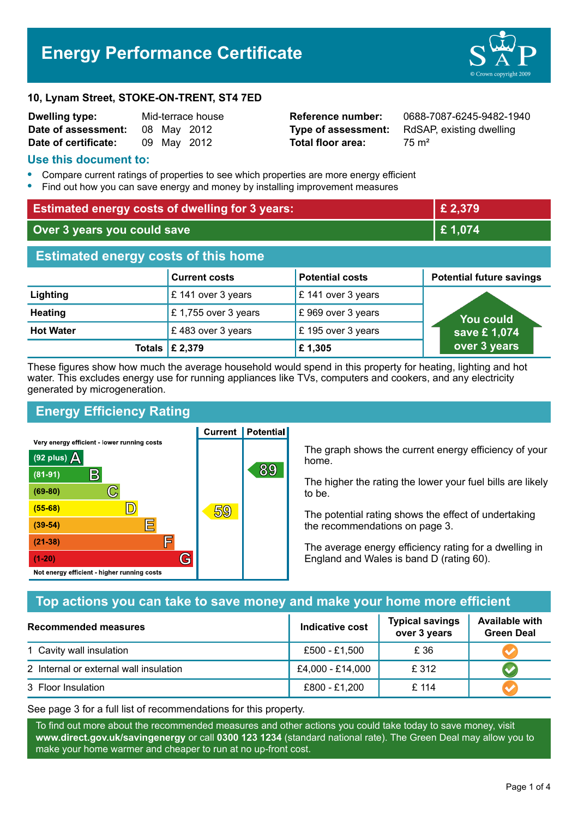# **Energy Performance Certificate**



#### **10, Lynam Street, STOKE-ON-TRENT, ST4 7ED**

| <b>Dwelling type:</b> | Mid-terrace house |             |             |
|-----------------------|-------------------|-------------|-------------|
| Date of assessment:   |                   | 08 May 2012 |             |
| Date of certificate:  |                   |             | 09 May 2012 |

**Total floor area:** 75 m<sup>2</sup>

**Reference number:** 0688-7087-6245-9482-1940 **Type of assessment:** RdSAP, existing dwelling

#### **Use this document to:**

- **•** Compare current ratings of properties to see which properties are more energy efficient
- **•** Find out how you can save energy and money by installing improvement measures

| <b>Estimated energy costs of dwelling for 3 years:</b> |                      |                        | £ 2,379                         |  |
|--------------------------------------------------------|----------------------|------------------------|---------------------------------|--|
| Over 3 years you could save                            |                      | £1,074                 |                                 |  |
| <b>Estimated energy costs of this home</b>             |                      |                        |                                 |  |
|                                                        | <b>Current costs</b> | <b>Potential costs</b> | <b>Potential future savings</b> |  |
| Lighting                                               | £ 141 over 3 years   | £ 141 over 3 years     |                                 |  |
| <b>Heating</b>                                         | £1,755 over 3 years  | £969 over 3 years      | You could                       |  |
| <b>Hot Water</b>                                       | £483 over 3 years    | £ 195 over 3 years     | save £1,074                     |  |
| <b>Totals</b>                                          | £ 2,379              | £1,305                 | over 3 years                    |  |

These figures show how much the average household would spend in this property for heating, lighting and hot water. This excludes energy use for running appliances like TVs, computers and cookers, and any electricity generated by microgeneration.

**Current | Potential** 

# **Energy Efficiency Rating**

Very energy efficient - lower running costs



The graph shows the current energy efficiency of your home.

The higher the rating the lower your fuel bills are likely to be.

The potential rating shows the effect of undertaking the recommendations on page 3.

The average energy efficiency rating for a dwelling in England and Wales is band D (rating 60).

# **Top actions you can take to save money and make your home more efficient**

| Recommended measures                   | Indicative cost  | <b>Typical savings</b><br>over 3 years | <b>Available with</b><br><b>Green Deal</b> |
|----------------------------------------|------------------|----------------------------------------|--------------------------------------------|
| 1 Cavity wall insulation               | £500 - £1,500    | £ 36                                   |                                            |
| 2 Internal or external wall insulation | £4,000 - £14,000 | £ 312                                  |                                            |
| 3 Floor Insulation                     | £800 - £1,200    | £114                                   |                                            |

See page 3 for a full list of recommendations for this property.

To find out more about the recommended measures and other actions you could take today to save money, visit **www.direct.gov.uk/savingenergy** or call **0300 123 1234** (standard national rate). The Green Deal may allow you to make your home warmer and cheaper to run at no up-front cost.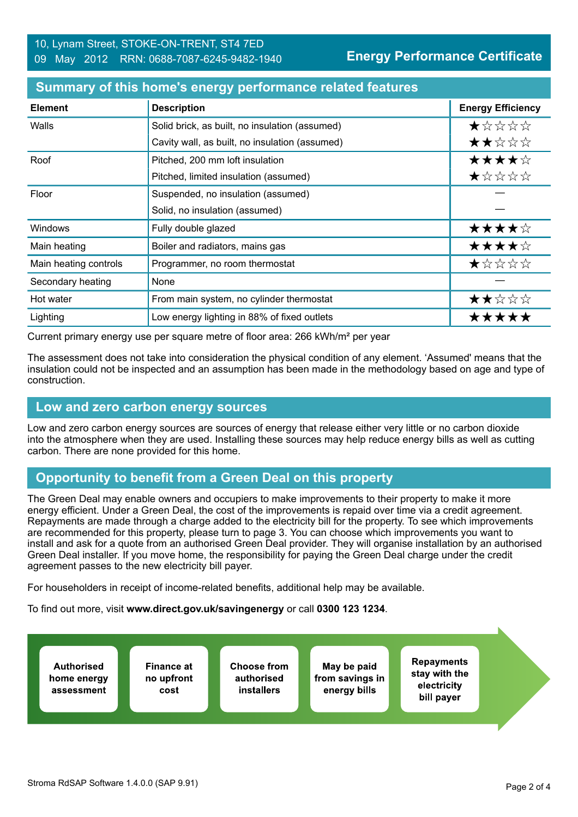| <b>Element</b>        | <b>Description</b>                             | <b>Energy Efficiency</b> |
|-----------------------|------------------------------------------------|--------------------------|
| Walls                 | Solid brick, as built, no insulation (assumed) | *****                    |
|                       | Cavity wall, as built, no insulation (assumed) | ★★☆☆☆                    |
| Roof                  | Pitched, 200 mm loft insulation                | ★★★★☆                    |
|                       | Pitched, limited insulation (assumed)          | ★☆☆☆☆                    |
| Floor                 | Suspended, no insulation (assumed)             |                          |
|                       | Solid, no insulation (assumed)                 |                          |
| Windows               | Fully double glazed                            | ★★★★☆                    |
| Main heating          | Boiler and radiators, mains gas                | ★★★★☆                    |
| Main heating controls | Programmer, no room thermostat                 | ★☆☆☆☆                    |
| Secondary heating     | None                                           |                          |
| Hot water             | From main system, no cylinder thermostat       | ★★☆☆☆                    |
| Lighting              | Low energy lighting in 88% of fixed outlets    | *****                    |

#### **Summary of this home's energy performance related features**

Current primary energy use per square metre of floor area: 266 kWh/m² per year

The assessment does not take into consideration the physical condition of any element. 'Assumed' means that the insulation could not be inspected and an assumption has been made in the methodology based on age and type of construction.

#### **Low and zero carbon energy sources**

Low and zero carbon energy sources are sources of energy that release either very little or no carbon dioxide into the atmosphere when they are used. Installing these sources may help reduce energy bills as well as cutting carbon. There are none provided for this home.

# **Opportunity to benefit from a Green Deal on this property**

The Green Deal may enable owners and occupiers to make improvements to their property to make it more energy efficient. Under a Green Deal, the cost of the improvements is repaid over time via a credit agreement. Repayments are made through a charge added to the electricity bill for the property. To see which improvements are recommended for this property, please turn to page 3. You can choose which improvements you want to install and ask for a quote from an authorised Green Deal provider. They will organise installation by an authorised Green Deal installer. If you move home, the responsibility for paying the Green Deal charge under the credit agreement passes to the new electricity bill payer.

For householders in receipt of income-related benefits, additional help may be available.

To find out more, visit **www.direct.gov.uk/savingenergy** or call **0300 123 1234**.

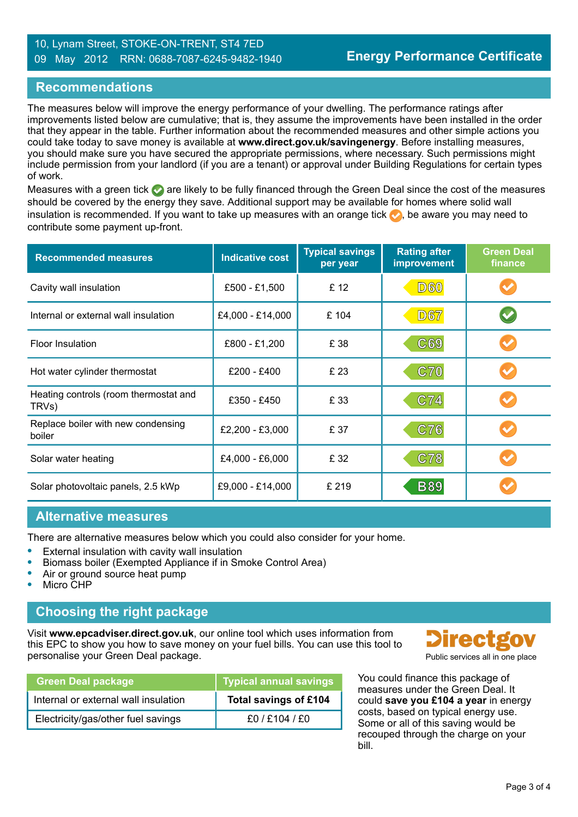#### 10, Lynam Street, STOKE-ON-TRENT, ST4 7ED 09 May 2012 RRN: 0688-7087-6245-9482-1940

#### **Recommendations**

The measures below will improve the energy performance of your dwelling. The performance ratings after improvements listed below are cumulative; that is, they assume the improvements have been installed in the order that they appear in the table. Further information about the recommended measures and other simple actions you could take today to save money is available at **www.direct.gov.uk/savingenergy**. Before installing measures, you should make sure you have secured the appropriate permissions, where necessary. Such permissions might include permission from your landlord (if you are a tenant) or approval under Building Regulations for certain types of work.

Measures with a green tick  $\bullet$  are likely to be fully financed through the Green Deal since the cost of the measures should be covered by the energy they save. Additional support may be available for homes where solid wall insulation is recommended. If you want to take up measures with an orange tick  $\bullet$ , be aware you may need to contribute some payment up-front.

| <b>Recommended measures</b>                    | <b>Indicative cost</b> | <b>Typical savings</b><br>per year | <b>Rating after</b><br><b>improvement</b> | <b>Green Deal</b><br>finance |
|------------------------------------------------|------------------------|------------------------------------|-------------------------------------------|------------------------------|
| Cavity wall insulation                         | £500 - £1,500          | £ 12                               | <b>D60</b>                                |                              |
| Internal or external wall insulation           | £4,000 - £14,000       | £ 104                              | <b>D67</b>                                |                              |
| <b>Floor Insulation</b>                        | £800 - £1,200          | £ 38                               | C69                                       |                              |
| Hot water cylinder thermostat                  | £200 - £400            | £ 23                               | <b>C70</b>                                |                              |
| Heating controls (room thermostat and<br>TRVs) | £350 - £450            | £ 33                               | C74                                       |                              |
| Replace boiler with new condensing<br>boiler   | £2,200 - £3,000        | £ 37                               | C76                                       |                              |
| Solar water heating                            | £4,000 - £6,000        | £ 32                               | C78                                       |                              |
| Solar photovoltaic panels, 2.5 kWp             | £9,000 - £14,000       | £219                               | <b>B89</b>                                |                              |

#### **Alternative measures**

There are alternative measures below which you could also consider for your home.

- **•** External insulation with cavity wall insulation
- **•** Biomass boiler (Exempted Appliance if in Smoke Control Area)
- **•** Air or ground source heat pump
- **•** Micro CHP

# **Choosing the right package**

Visit **www.epcadviser.direct.gov.uk**, our online tool which uses information from this EPC to show you how to save money on your fuel bills. You can use this tool to personalise your Green Deal package. **Public services all in one place** part of the place of the place of the place

| <b>Green Deal package</b>            | <b>Typical annual savings</b> |
|--------------------------------------|-------------------------------|
| Internal or external wall insulation | Total savings of £104         |
| Electricity/gas/other fuel savings   | f0 / f104 / f0                |



You could finance this package of measures under the Green Deal. It could **save you £104 a year** in energy costs, based on typical energy use. Some or all of this saving would be recouped through the charge on your bill.